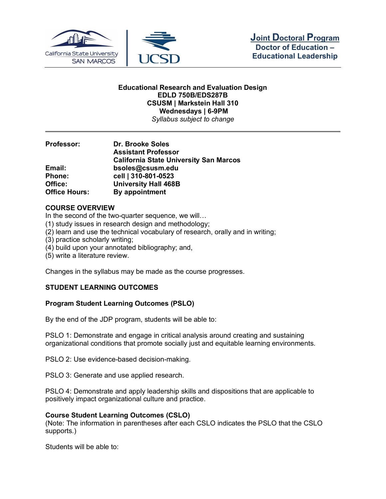

#### **Educational Research and Evaluation Design EDLD 750B/EDS287B CSUSM | Markstein Hall 310 Wednesdays | 6-9PM** *Syllabus subject to change*

**Professor: Dr. Brooke Soles Assistant Professor California State University San Marcos Email: bsoles@csusm.edu Phone: cell | 310-801-0523 Office: University Hall 468B Office Hours: By appointment**

## **COURSE OVERVIEW**

In the second of the two-quarter sequence, we will...

- (1) study issues in research design and methodology;
- (2) learn and use the technical vocabulary of research, orally and in writing;
- (3) practice scholarly writing;
- (4) build upon your annotated bibliography; and,
- (5) write a literature review.

Changes in the syllabus may be made as the course progresses.

## **STUDENT LEARNING OUTCOMES**

#### **Program Student Learning Outcomes (PSLO)**

By the end of the JDP program, students will be able to:

PSLO 1: Demonstrate and engage in critical analysis around creating and sustaining organizational conditions that promote socially just and equitable learning environments.

PSLO 2: Use evidence-based decision-making.

PSLO 3: Generate and use applied research.

PSLO 4: Demonstrate and apply leadership skills and dispositions that are applicable to positively impact organizational culture and practice.

#### **Course Student Learning Outcomes (CSLO)**

(Note: The information in parentheses after each CSLO indicates the PSLO that the CSLO supports.)

Students will be able to: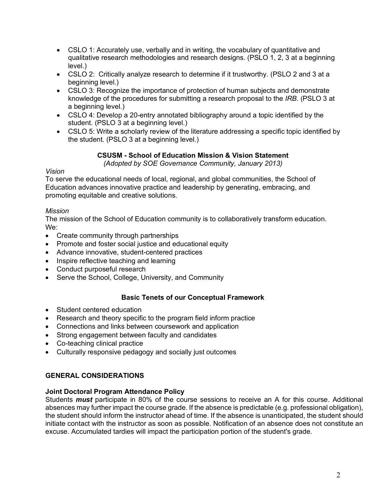- CSLO 1: Accurately use, verbally and in writing, the vocabulary of quantitative and qualitative research methodologies and research designs. (PSLO 1, 2, 3 at a beginning level.)
- CSLO 2: Critically analyze research to determine if it trustworthy. (PSLO 2 and 3 at a beginning level.)
- CSLO 3: Recognize the importance of protection of human subjects and demonstrate knowledge of the procedures for submitting a research proposal to the *IRB*. (PSLO 3 at a beginning level.)
- CSLO 4: Develop a 20-entry annotated bibliography around a topic identified by the student. (PSLO 3 at a beginning level.)
- CSLO 5: Write a scholarly review of the literature addressing a specific topic identified by the student. (PSLO 3 at a beginning level.)

# **CSUSM - School of Education Mission & Vision Statement**

*(Adopted by SOE Governance Community, January 2013)*

## *Vision*

To serve the educational needs of local, regional, and global communities, the School of Education advances innovative practice and leadership by generating, embracing, and promoting equitable and creative solutions.

# *Mission*

The mission of the School of Education community is to collaboratively transform education. We:

- Create community through partnerships
- Promote and foster social justice and educational equity
- Advance innovative, student-centered practices
- Inspire reflective teaching and learning
- Conduct purposeful research
- Serve the School, College, University, and Community

# **Basic Tenets of our Conceptual Framework**

- Student centered education
- Research and theory specific to the program field inform practice
- Connections and links between coursework and application
- Strong engagement between faculty and candidates
- Co-teaching clinical practice
- Culturally responsive pedagogy and socially just outcomes

# **GENERAL CONSIDERATIONS**

## **Joint Doctoral Program Attendance Policy**

Students *must* participate in 80% of the course sessions to receive an A for this course. Additional absences may further impact the course grade. If the absence is predictable (e.g. professional obligation), the student should inform the instructor ahead of time. If the absence is unanticipated, the student should initiate contact with the instructor as soon as possible. Notification of an absence does not constitute an excuse. Accumulated tardies will impact the participation portion of the student's grade.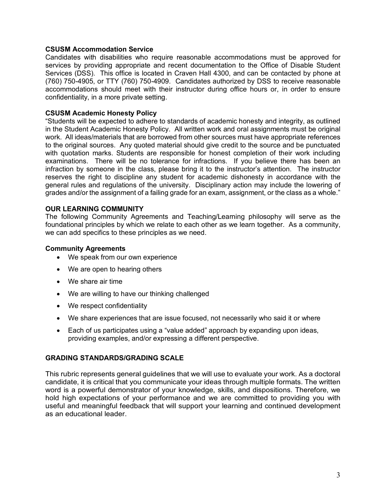### **CSUSM Accommodation Service**

Candidates with disabilities who require reasonable accommodations must be approved for services by providing appropriate and recent documentation to the Office of Disable Student Services (DSS). This office is located in Craven Hall 4300, and can be contacted by phone at (760) 750-4905, or TTY (760) 750-4909. Candidates authorized by DSS to receive reasonable accommodations should meet with their instructor during office hours or, in order to ensure confidentiality, in a more private setting.

### **CSUSM Academic Honesty Policy**

"Students will be expected to adhere to standards of academic honesty and integrity, as outlined in the Student Academic Honesty Policy. All written work and oral assignments must be original work. All ideas/materials that are borrowed from other sources must have appropriate references to the original sources. Any quoted material should give credit to the source and be punctuated with quotation marks. Students are responsible for honest completion of their work including examinations. There will be no tolerance for infractions. If you believe there has been an infraction by someone in the class, please bring it to the instructor's attention. The instructor reserves the right to discipline any student for academic dishonesty in accordance with the general rules and regulations of the university. Disciplinary action may include the lowering of grades and/or the assignment of a failing grade for an exam, assignment, or the class as a whole."

### **OUR LEARNING COMMUNITY**

The following Community Agreements and Teaching/Learning philosophy will serve as the foundational principles by which we relate to each other as we learn together. As a community, we can add specifics to these principles as we need.

### **Community Agreements**

- We speak from our own experience
- We are open to hearing others
- We share air time
- We are willing to have our thinking challenged
- We respect confidentiality
- We share experiences that are issue focused, not necessarily who said it or where
- Each of us participates using a "value added" approach by expanding upon ideas, providing examples, and/or expressing a different perspective.

#### **GRADING STANDARDS/GRADING SCALE**

This rubric represents general guidelines that we will use to evaluate your work. As a doctoral candidate, it is critical that you communicate your ideas through multiple formats. The written word is a powerful demonstrator of your knowledge, skills, and dispositions. Therefore, we hold high expectations of your performance and we are committed to providing you with useful and meaningful feedback that will support your learning and continued development as an educational leader.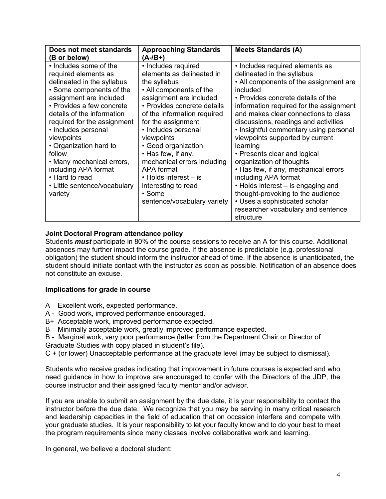| Does not meet standards<br>(B or below)                                                                                                                                                                                                                                                                                                                                                                                  | <b>Approaching Standards</b><br>$(A - / B + )$                                                                                                                                                                                                                                                                                                                                                                                             | <b>Meets Standards (A)</b>                                                                                                                                                                                                                                                                                                                                                                                                                                                                                                                                                                                                                                   |
|--------------------------------------------------------------------------------------------------------------------------------------------------------------------------------------------------------------------------------------------------------------------------------------------------------------------------------------------------------------------------------------------------------------------------|--------------------------------------------------------------------------------------------------------------------------------------------------------------------------------------------------------------------------------------------------------------------------------------------------------------------------------------------------------------------------------------------------------------------------------------------|--------------------------------------------------------------------------------------------------------------------------------------------------------------------------------------------------------------------------------------------------------------------------------------------------------------------------------------------------------------------------------------------------------------------------------------------------------------------------------------------------------------------------------------------------------------------------------------------------------------------------------------------------------------|
| • Includes some of the<br>required elements as<br>delineated in the syllabus<br>• Some components of the<br>assignment are included<br>• Provides a few concrete<br>details of the information<br>required for the assignment<br>• Includes personal<br>viewpoints<br>• Organization hard to<br>follow<br>• Many mechanical errors,<br>including APA format<br>• Hard to read<br>• Little sentence/vocabulary<br>variety | • Includes required<br>elements as delineated in<br>the syllabus<br>• All components of the<br>assignment are included<br>• Provides concrete details<br>of the information required<br>for the assignment<br>• Includes personal<br>viewpoints<br>• Good organization<br>• Has few, if any,<br>mechanical errors including<br>APA format<br>$\cdot$ Holds interest $-$ is<br>interesting to read<br>• Some<br>sentence/vocabulary variety | • Includes required elements as<br>delineated in the syllabus<br>• All components of the assignment are<br>included<br>• Provides concrete details of the<br>information required for the assignment<br>and makes clear connections to class<br>discussions, readings and activities<br>• Insightful commentary using personal<br>viewpoints supported by current<br>learning<br>• Presents clear and logical<br>organization of thoughts<br>• Has few, if any, mechanical errors<br>including APA format<br>• Holds interest - is engaging and<br>thought-provoking to the audience<br>• Uses a sophisticated scholar<br>researcher vocabulary and sentence |
|                                                                                                                                                                                                                                                                                                                                                                                                                          |                                                                                                                                                                                                                                                                                                                                                                                                                                            | structure                                                                                                                                                                                                                                                                                                                                                                                                                                                                                                                                                                                                                                                    |

# **Joint Doctoral Program attendance policy**

Students *must* participate in 80% of the course sessions to receive an A for this course. Additional absences may further impact the course grade. If the absence is predictable (e.g. professional obligation) the student should inform the instructor ahead of time. If the absence is unanticipated, the student should initiate contact with the instructor as soon as possible. Notification of an absence does not constitute an excuse.

## **Implications for grade in course**

- A Excellent work, expected performance.
- A Good work, improved performance encouraged.
- B+ Acceptable work, improved performance expected.
- B Minimally acceptable work, greatly improved performance expected.
- B Marginal work, very poor performance (letter from the Department Chair or Director of Graduate Studies with copy placed in student's file).
- C + (or lower) Unacceptable performance at the graduate level (may be subject to dismissal).

Students who receive grades indicating that improvement in future courses is expected and who need guidance in how to improve are encouraged to confer with the Directors of the JDP, the course instructor and their assigned faculty mentor and/or advisor.

If you are unable to submit an assignment by the due date, it is your responsibility to contact the instructor before the due date. We recognize that you may be serving in many critical research and leadership capacities in the field of education that on occasion interfere and compete with your graduate studies. It is your responsibility to let your faculty know and to do your best to meet the program requirements since many classes involve collaborative work and learning.

In general, we believe a doctoral student: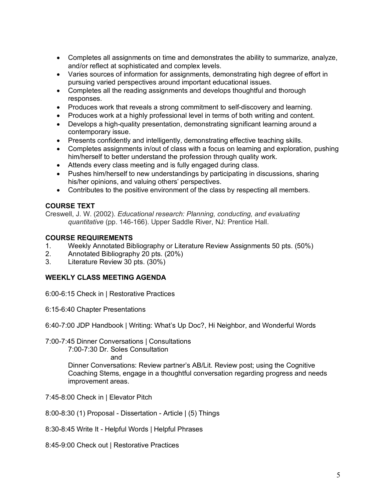- Completes all assignments on time and demonstrates the ability to summarize, analyze, and/or reflect at sophisticated and complex levels.
- Varies sources of information for assignments, demonstrating high degree of effort in pursuing varied perspectives around important educational issues.
- Completes all the reading assignments and develops thoughtful and thorough responses.
- Produces work that reveals a strong commitment to self-discovery and learning.
- Produces work at a highly professional level in terms of both writing and content.
- Develops a high-quality presentation, demonstrating significant learning around a contemporary issue.
- Presents confidently and intelligently, demonstrating effective teaching skills.
- Completes assignments in/out of class with a focus on learning and exploration, pushing him/herself to better understand the profession through quality work.
- Attends every class meeting and is fully engaged during class.
- Pushes him/herself to new understandings by participating in discussions, sharing his/her opinions, and valuing others' perspectives.
- Contributes to the positive environment of the class by respecting all members.

# **COURSE TEXT**

Creswell, J. W. (2002). *Educational research: Planning, conducting, and evaluating quantitative* (pp. 146-166). Upper Saddle River, NJ: Prentice Hall.

## **COURSE REQUIREMENTS**

- 1. Weekly Annotated Bibliography or Literature Review Assignments 50 pts. (50%)
- 2. Annotated Bibliography 20 pts. (20%)
- 3. Literature Review 30 pts. (30%)

# **WEEKLY CLASS MEETING AGENDA**

6:00-6:15 Check in | Restorative Practices

6:15-6:40 Chapter Presentations

6:40-7:00 JDP Handbook | Writing: What's Up Doc?, Hi Neighbor, and Wonderful Words

7:00-7:45 Dinner Conversations | Consultations

7:00-7:30 Dr. Soles Consultation

and

Dinner Conversations: Review partner's AB/Lit. Review post; using the Cognitive Coaching Stems, engage in a thoughtful conversation regarding progress and needs improvement areas.

7:45-8:00 Check in | Elevator Pitch

8:00-8:30 (1) Proposal - Dissertation - Article | (5) Things

8:30-8:45 Write It - Helpful Words | Helpful Phrases

8:45-9:00 Check out | Restorative Practices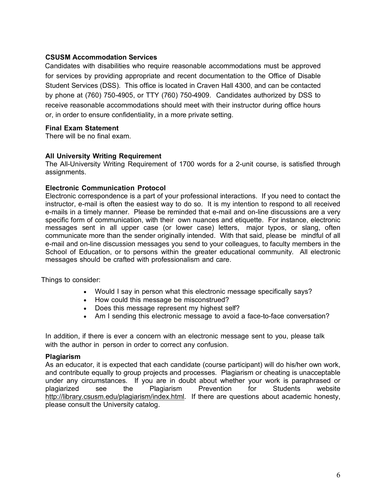## **CSUSM Accommodation Services**

 Candidates with disabilities who require reasonable accommodations must be approved for services by providing appropriate and recent documentation to the Office of Disable Student Services (DSS). This office is located in Craven Hall 4300, and can be contacted by phone at (760) 750-4905, or TTY (760) 750-4909. Candidates authorized by DSS to receive reasonable accommodations should meet with their instructor during office hours or, in order to ensure confidentiality, in a more private setting.

### **Final Exam Statement**

There will be no final exam.

### **All University Writing Requirement**

The All-University Writing Requirement of 1700 words for a 2-unit course, is satisfied through assignments.

### **Electronic Communication Protocol**

Electronic correspondence is a part of your professional interactions. If you need to contact the instructor, e-mail is often the easiest way to do so. It is my intention to respond to all received e-mails in a timely manner. Please be reminded that e-mail and on-line discussions are a very specific form of communication, with their own nuances and etiquette. For instance, electronic messages sent in all upper case (or lower case) letters, major typos, or slang, often communicate more than the sender originally intended. With that said, please be mindful of all e-mail and on-line discussion messages you send to your colleagues, to faculty members in the School of Education, or to persons within the greater educational community. All electronic messages should be crafted with professionalism and care.

Things to consider:

- Would I say in person what this electronic message specifically says?
- How could this message be misconstrued?
- Does this message represent my highest self?
- Am I sending this electronic message to avoid a face-to-face conversation?

In addition, if there is ever a concern with an electronic message sent to you, please talk with the author in person in order to correct any confusion.

#### **Plagiarism**

As an educator, it is expected that each candidate (course participant) will do his/her own work, and contribute equally to group projects and processes. Plagiarism or cheating is unacceptable under any circumstances. If you are in doubt about whether your work is paraphrased or plagiarized see the Plagiarism Prevention for Students website http://library.csusm.edu/plagiarism/index.html. If there are questions about academic honesty, please consult the University catalog.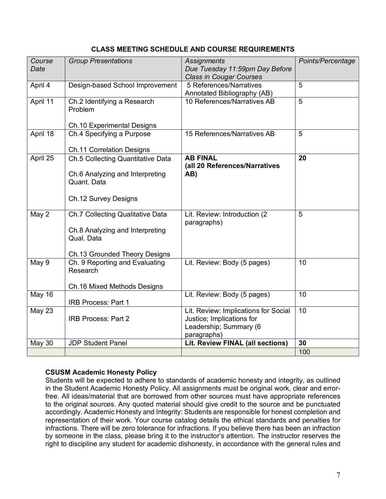## **CLASS MEETING SCHEDULE AND COURSE REQUIREMENTS**

| Course<br>Date | <b>Group Presentations</b>                                                                                         | <b>Assignments</b><br>Due Tuesday 11:59pm Day Before<br><b>Class in Cougar Courses</b>                     | Points/Percentage |
|----------------|--------------------------------------------------------------------------------------------------------------------|------------------------------------------------------------------------------------------------------------|-------------------|
| April 4        | Design-based School Improvement                                                                                    | 5 References/Narratives<br>Annotated Bibliography (AB)                                                     | 5                 |
| April 11       | Ch.2 Identifying a Research<br>Problem<br><b>Ch.10 Experimental Designs</b>                                        | 10 References/Narratives AB                                                                                | 5                 |
| April 18       | Ch.4 Specifying a Purpose<br><b>Ch.11 Correlation Designs</b>                                                      | 15 References/Narratives AB                                                                                | 5                 |
| April 25       | Ch.5 Collecting Quantitative Data<br>Ch.6 Analyzing and Interpreting<br>Quant. Data<br>Ch.12 Survey Designs        | <b>AB FINAL</b><br>(all 20 References/Narratives<br>AB)                                                    | 20                |
| May 2          | Ch.7 Collecting Qualitative Data<br>Ch.8 Analyzing and Interpreting<br>Qual. Data<br>Ch.13 Grounded Theory Designs | Lit. Review: Introduction (2)<br>paragraphs)                                                               | 5                 |
| May 9          | Ch. 9 Reporting and Evaluating<br>Research<br>Ch.16 Mixed Methods Designs                                          | Lit. Review: Body (5 pages)                                                                                | 10                |
| <b>May 16</b>  | <b>IRB Process: Part 1</b>                                                                                         | Lit. Review: Body (5 pages)                                                                                | 10                |
| May 23         | <b>IRB Process: Part 2</b>                                                                                         | Lit. Review: Implications for Social<br>Justice; Implications for<br>Leadership; Summary (6<br>paragraphs) | 10                |
| <b>May 30</b>  | <b>JDP Student Panel</b>                                                                                           | Lit. Review FINAL (all sections)                                                                           | 30                |
|                |                                                                                                                    |                                                                                                            | 100               |

# **CSUSM Academic Honesty Policy**

Students will be expected to adhere to standards of academic honesty and integrity, as outlined in the Student Academic Honesty Policy. All assignments must be original work, clear and errorfree. All ideas/material that are borrowed from other sources must have appropriate references to the original sources. Any quoted material should give credit to the source and be punctuated accordingly. Academic Honesty and Integrity: Students are responsible for honest completion and representation of their work. Your course catalog details the ethical standards and penalties for infractions. There will be zero tolerance for infractions. If you believe there has been an infraction by someone in the class, please bring it to the instructor's attention. The instructor reserves the right to discipline any student for academic dishonesty, in accordance with the general rules and